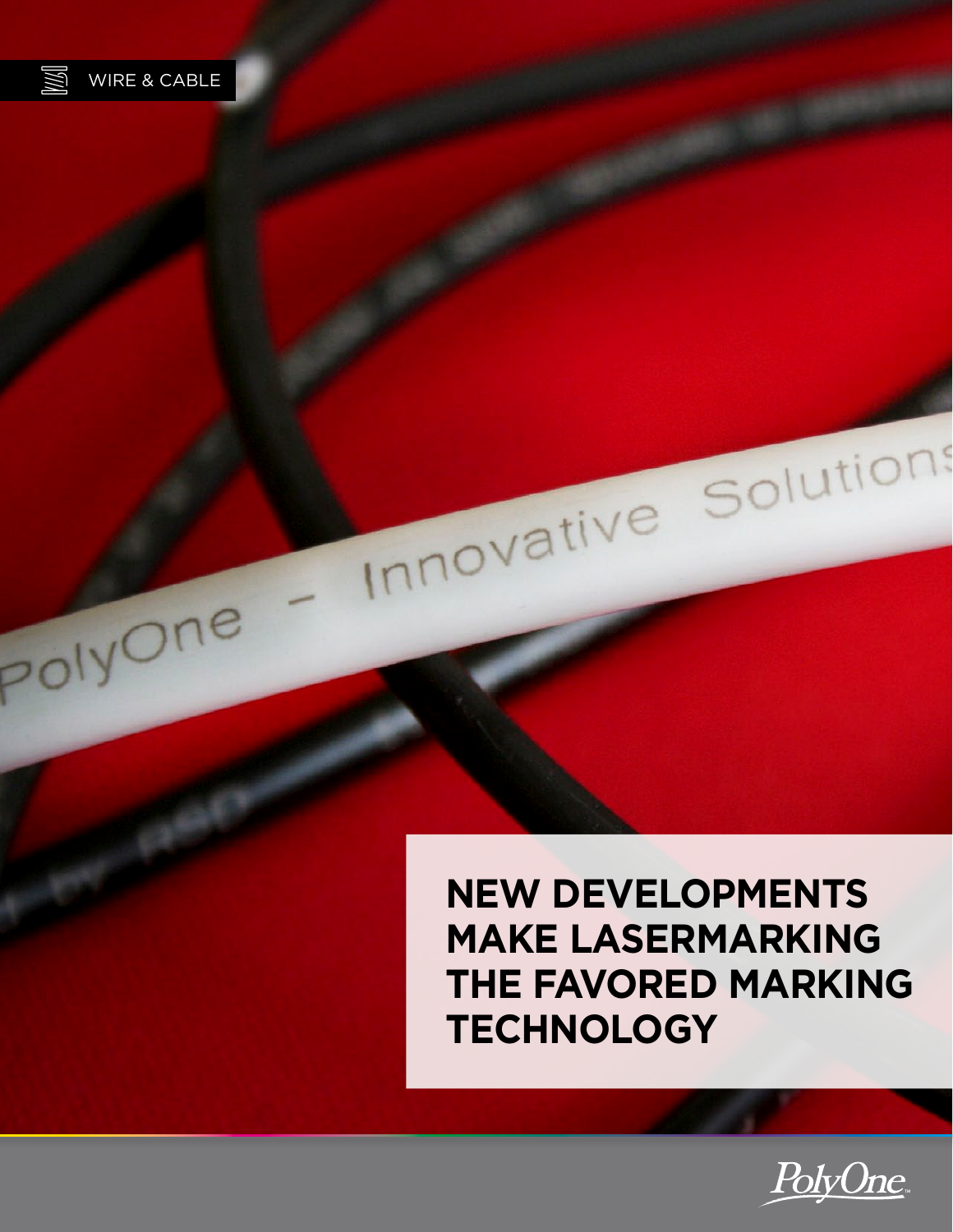

PolyOne

**New Developments Make Lasermarking the Favored Marking Technology**

Innovative Solutions